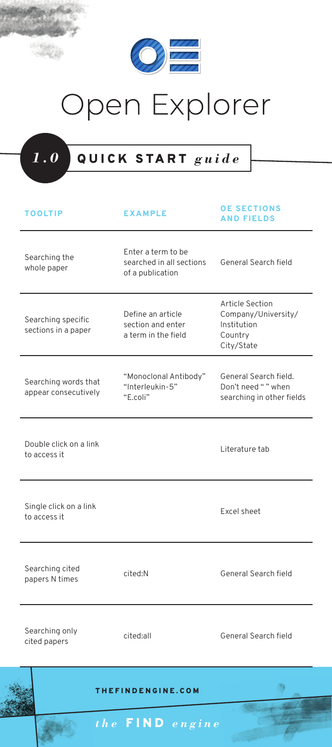

## Open Explorer

## *1.0* QUICK START *guide*

| <b>TOOLTIP</b>                               | <b>EXAMPLE</b>                                                     | <b>OE SECTIONS</b><br><b>AND FIELDS</b>                                        |
|----------------------------------------------|--------------------------------------------------------------------|--------------------------------------------------------------------------------|
| Searching the<br>whole paper                 | Enter a term to be<br>searched in all sections<br>of a publication | General Search field                                                           |
| Searching specific<br>sections in a paper    | Define an article<br>section and enter<br>a term in the field      | Article Section<br>Company/University/<br>Institution<br>Country<br>City/State |
| Searching words that<br>appear consecutively | "Monoclonal Antibody"<br>"Interleukin-5"<br>"E.coli"               | General Search field.<br>Don't need "" when<br>searching in other fields       |
| Double click on a link<br>to access it       |                                                                    | Literature tab                                                                 |
| Single click on a link<br>to access it       |                                                                    | Excel sheet                                                                    |
| Searching cited<br>papers N times            | cited:N                                                            | General Search field                                                           |
| Searching only<br>cited papers               | cited:all                                                          | General Search field                                                           |
|                                              | THEFINDENGINE.COM                                                  |                                                                                |
|                                              | the FIND<br>$\overline{e}$ ngin $\overline{e}$                     |                                                                                |